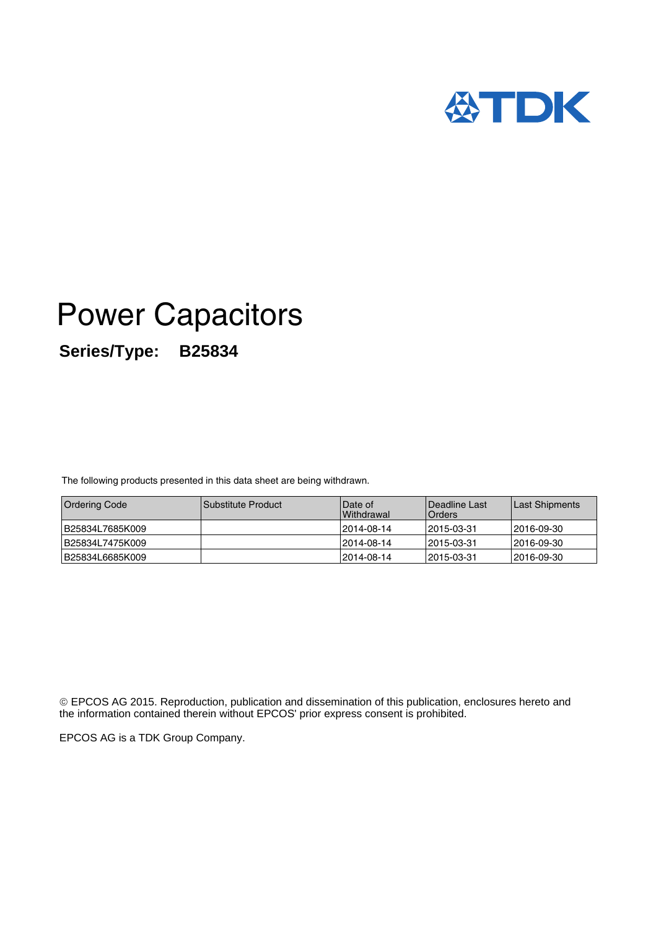

# Power Capacitors **Series/Type: B25834**

The following products presented in this data sheet are being withdrawn.

| <b>Ordering Code</b> | <b>Substitute Product</b> | Date of<br><b>Withdrawal</b> | <b>IDeadline Last</b><br><b>I</b> Orders | <b>ILast Shipments</b> |
|----------------------|---------------------------|------------------------------|------------------------------------------|------------------------|
| B25834L7685K009      |                           | 12014-08-14                  | 12015-03-31                              | 12016-09-30            |
| B25834L7475K009      |                           | 12014-08-14                  | 12015-03-31                              | 12016-09-30            |
| B25834L6685K009      |                           | 12014-08-14                  | 12015-03-31                              | 12016-09-30            |

 EPCOS AG 2015. Reproduction, publication and dissemination of this publication, enclosures hereto and the information contained therein without EPCOS' prior express consent is prohibited.

EPCOS AG is a TDK Group Company.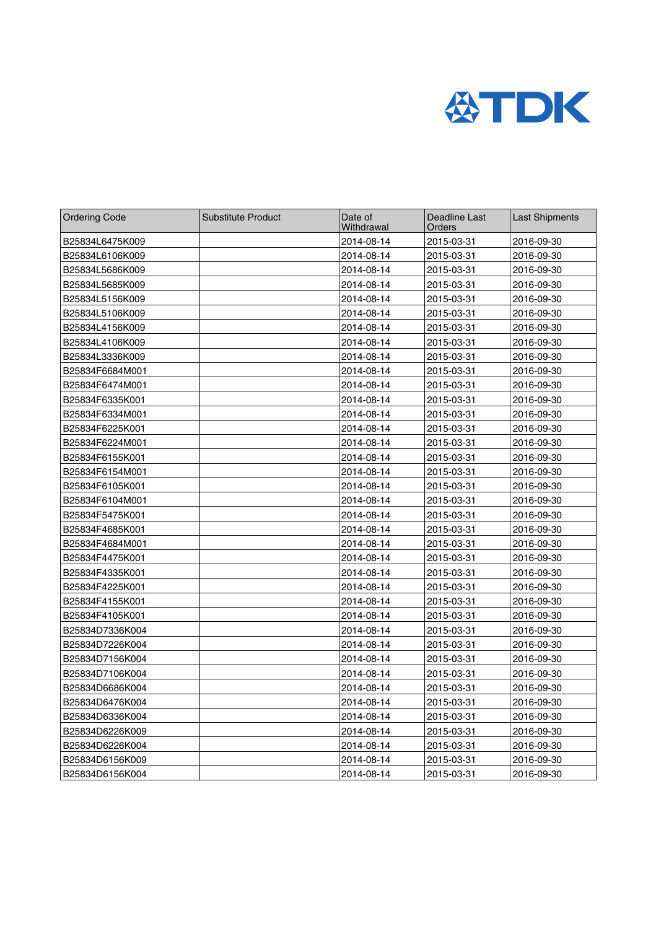

| <b>Ordering Code</b> | <b>Substitute Product</b> | Date of<br>Withdrawal | Deadline Last<br>Orders | <b>Last Shipments</b> |
|----------------------|---------------------------|-----------------------|-------------------------|-----------------------|
| B25834L6475K009      |                           | 2014-08-14            | 2015-03-31              | 2016-09-30            |
| B25834L6106K009      |                           | 2014-08-14            | 2015-03-31              | 2016-09-30            |
| B25834L5686K009      |                           | 2014-08-14            | 2015-03-31              | 2016-09-30            |
| B25834L5685K009      |                           | 2014-08-14            | 2015-03-31              | 2016-09-30            |
| B25834L5156K009      |                           | 2014-08-14            | 2015-03-31              | 2016-09-30            |
| B25834L5106K009      |                           | 2014-08-14            | 2015-03-31              | 2016-09-30            |
| B25834L4156K009      |                           | 2014-08-14            | 2015-03-31              | 2016-09-30            |
| B25834L4106K009      |                           | 2014-08-14            | 2015-03-31              | 2016-09-30            |
| B25834L3336K009      |                           | 2014-08-14            | 2015-03-31              | 2016-09-30            |
| B25834F6684M001      |                           | 2014-08-14            | 2015-03-31              | 2016-09-30            |
| B25834F6474M001      |                           | 2014-08-14            | 2015-03-31              | 2016-09-30            |
| B25834F6335K001      |                           | 2014-08-14            | 2015-03-31              | 2016-09-30            |
| B25834F6334M001      |                           | 2014-08-14            | 2015-03-31              | 2016-09-30            |
| B25834F6225K001      |                           | 2014-08-14            | 2015-03-31              | 2016-09-30            |
| B25834F6224M001      |                           | 2014-08-14            | 2015-03-31              | 2016-09-30            |
| B25834F6155K001      |                           | 2014-08-14            | 2015-03-31              | 2016-09-30            |
| B25834F6154M001      |                           | 2014-08-14            | 2015-03-31              | 2016-09-30            |
| B25834F6105K001      |                           | 2014-08-14            | 2015-03-31              | 2016-09-30            |
| B25834F6104M001      |                           | 2014-08-14            | 2015-03-31              | 2016-09-30            |
| B25834F5475K001      |                           | 2014-08-14            | 2015-03-31              | 2016-09-30            |
| B25834F4685K001      |                           | 2014-08-14            | 2015-03-31              | 2016-09-30            |
| B25834F4684M001      |                           | 2014-08-14            | 2015-03-31              | 2016-09-30            |
| B25834F4475K001      |                           | 2014-08-14            | 2015-03-31              | 2016-09-30            |
| B25834F4335K001      |                           | 2014-08-14            | 2015-03-31              | 2016-09-30            |
| B25834F4225K001      |                           | 2014-08-14            | 2015-03-31              | 2016-09-30            |
| B25834F4155K001      |                           | 2014-08-14            | 2015-03-31              | 2016-09-30            |
| B25834F4105K001      |                           | 2014-08-14            | 2015-03-31              | 2016-09-30            |
| B25834D7336K004      |                           | 2014-08-14            | 2015-03-31              | 2016-09-30            |
| B25834D7226K004      |                           | 2014-08-14            | 2015-03-31              | 2016-09-30            |
| B25834D7156K004      |                           | 2014-08-14            | 2015-03-31              | 2016-09-30            |
| B25834D7106K004      |                           | 2014-08-14            | 2015-03-31              | 2016-09-30            |
| B25834D6686K004      |                           | 2014-08-14            | 2015-03-31              | 2016-09-30            |
| B25834D6476K004      |                           | 2014-08-14            | 2015-03-31              | 2016-09-30            |
| B25834D6336K004      |                           | 2014-08-14            | 2015-03-31              | 2016-09-30            |
| B25834D6226K009      |                           | 2014-08-14            | 2015-03-31              | 2016-09-30            |
| B25834D6226K004      |                           | 2014-08-14            | 2015-03-31              | 2016-09-30            |
| B25834D6156K009      |                           | 2014-08-14            | 2015-03-31              | 2016-09-30            |
| B25834D6156K004      |                           | 2014-08-14            | 2015-03-31              | 2016-09-30            |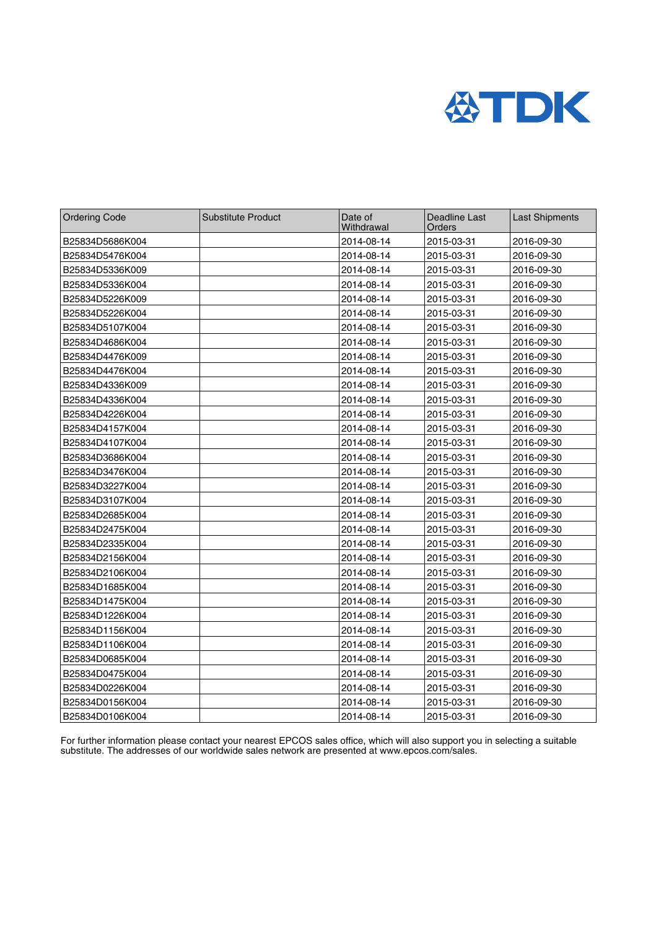

| <b>Ordering Code</b> | <b>Substitute Product</b> | Date of<br>Withdrawal | <b>Deadline Last</b><br>Orders | <b>Last Shipments</b> |
|----------------------|---------------------------|-----------------------|--------------------------------|-----------------------|
| B25834D5686K004      |                           | 2014-08-14            | 2015-03-31                     | 2016-09-30            |
| B25834D5476K004      |                           | 2014-08-14            | 2015-03-31                     | 2016-09-30            |
| B25834D5336K009      |                           | 2014-08-14            | 2015-03-31                     | 2016-09-30            |
| B25834D5336K004      |                           | 2014-08-14            | 2015-03-31                     | 2016-09-30            |
| B25834D5226K009      |                           | 2014-08-14            | 2015-03-31                     | 2016-09-30            |
| B25834D5226K004      |                           | 2014-08-14            | 2015-03-31                     | 2016-09-30            |
| B25834D5107K004      |                           | 2014-08-14            | 2015-03-31                     | 2016-09-30            |
| B25834D4686K004      |                           | 2014-08-14            | 2015-03-31                     | 2016-09-30            |
| B25834D4476K009      |                           | 2014-08-14            | 2015-03-31                     | 2016-09-30            |
| B25834D4476K004      |                           | 2014-08-14            | 2015-03-31                     | 2016-09-30            |
| B25834D4336K009      |                           | 2014-08-14            | 2015-03-31                     | 2016-09-30            |
| B25834D4336K004      |                           | 2014-08-14            | 2015-03-31                     | 2016-09-30            |
| B25834D4226K004      |                           | 2014-08-14            | 2015-03-31                     | 2016-09-30            |
| B25834D4157K004      |                           | 2014-08-14            | 2015-03-31                     | 2016-09-30            |
| B25834D4107K004      |                           | 2014-08-14            | 2015-03-31                     | 2016-09-30            |
| B25834D3686K004      |                           | 2014-08-14            | 2015-03-31                     | 2016-09-30            |
| B25834D3476K004      |                           | 2014-08-14            | 2015-03-31                     | 2016-09-30            |
| B25834D3227K004      |                           | 2014-08-14            | 2015-03-31                     | 2016-09-30            |
| B25834D3107K004      |                           | 2014-08-14            | 2015-03-31                     | 2016-09-30            |
| B25834D2685K004      |                           | 2014-08-14            | 2015-03-31                     | 2016-09-30            |
| B25834D2475K004      |                           | 2014-08-14            | 2015-03-31                     | 2016-09-30            |
| B25834D2335K004      |                           | 2014-08-14            | 2015-03-31                     | 2016-09-30            |
| B25834D2156K004      |                           | 2014-08-14            | 2015-03-31                     | 2016-09-30            |
| B25834D2106K004      |                           | 2014-08-14            | 2015-03-31                     | 2016-09-30            |
| B25834D1685K004      |                           | 2014-08-14            | 2015-03-31                     | 2016-09-30            |
| B25834D1475K004      |                           | 2014-08-14            | 2015-03-31                     | 2016-09-30            |
| B25834D1226K004      |                           | 2014-08-14            | 2015-03-31                     | 2016-09-30            |
| B25834D1156K004      |                           | 2014-08-14            | 2015-03-31                     | 2016-09-30            |
| B25834D1106K004      |                           | 2014-08-14            | 2015-03-31                     | 2016-09-30            |
| B25834D0685K004      |                           | 2014-08-14            | 2015-03-31                     | 2016-09-30            |
| B25834D0475K004      |                           | 2014-08-14            | 2015-03-31                     | 2016-09-30            |
| B25834D0226K004      |                           | 2014-08-14            | 2015-03-31                     | 2016-09-30            |
| B25834D0156K004      |                           | 2014-08-14            | 2015-03-31                     | 2016-09-30            |
| B25834D0106K004      |                           | 2014-08-14            | 2015-03-31                     | 2016-09-30            |

For further information please contact your nearest EPCOS sales office, which will also support you in selecting a suitable substitute. The addresses of our worldwide sales network are presented at www.epcos.com/sales.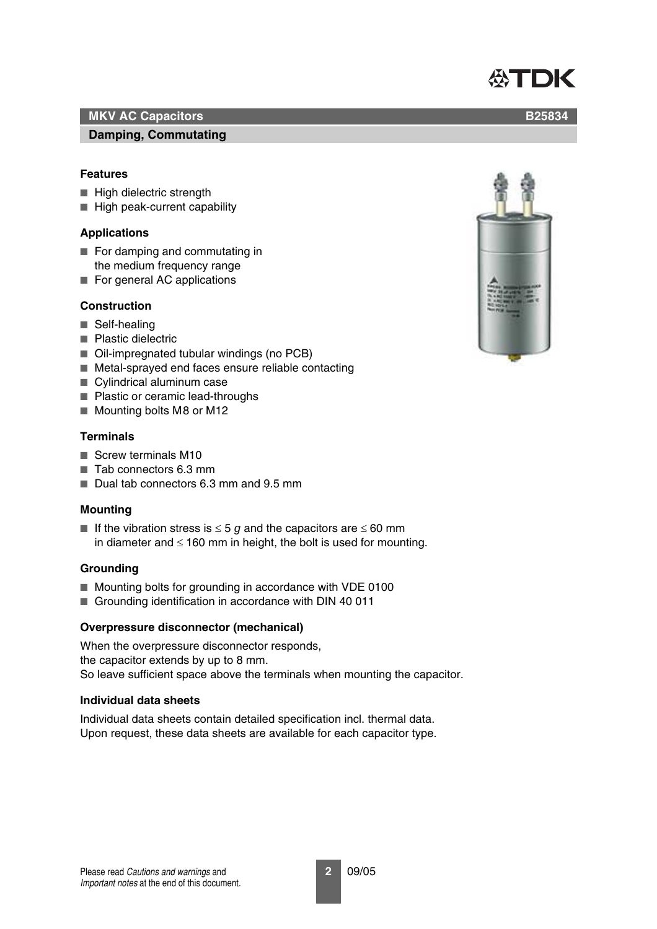# **Damping, Commutating**

# **Features**

- High dielectric strength
- High peak-current capability

# **Applications**

- For damping and commutating in the medium frequency range
- For general AC applications

# **Construction**

- Self-healing
- Plastic dielectric
- Oil-impregnated tubular windings (no PCB)
- Metal-sprayed end faces ensure reliable contacting
- Cylindrical aluminum case
- Plastic or ceramic lead-throughs
- Mounting bolts M8 or M12

# **Terminals**

- Screw terminals M10
- Tab connectors 6.3 mm
- Dual tab connectors 6.3 mm and 9.5 mm

# **Mounting**

■ If the vibration stress is  $\leq$  5 *g* and the capacitors are  $\leq$  60 mm in diameter and  $\leq 160$  mm in height, the bolt is used for mounting.

# **Grounding**

- Mounting bolts for grounding in accordance with VDE 0100
- Grounding identification in accordance with DIN 40 011

# **Overpressure disconnector (mechanical)**

When the overpressure disconnector responds, the capacitor extends by up to 8 mm. So leave sufficient space above the terminals when mounting the capacitor.

# **Individual data sheets**

Individual data sheets contain detailed specification incl. thermal data. Upon request, these data sheets are available for each capacitor type.



# **公TDK**

**B25834**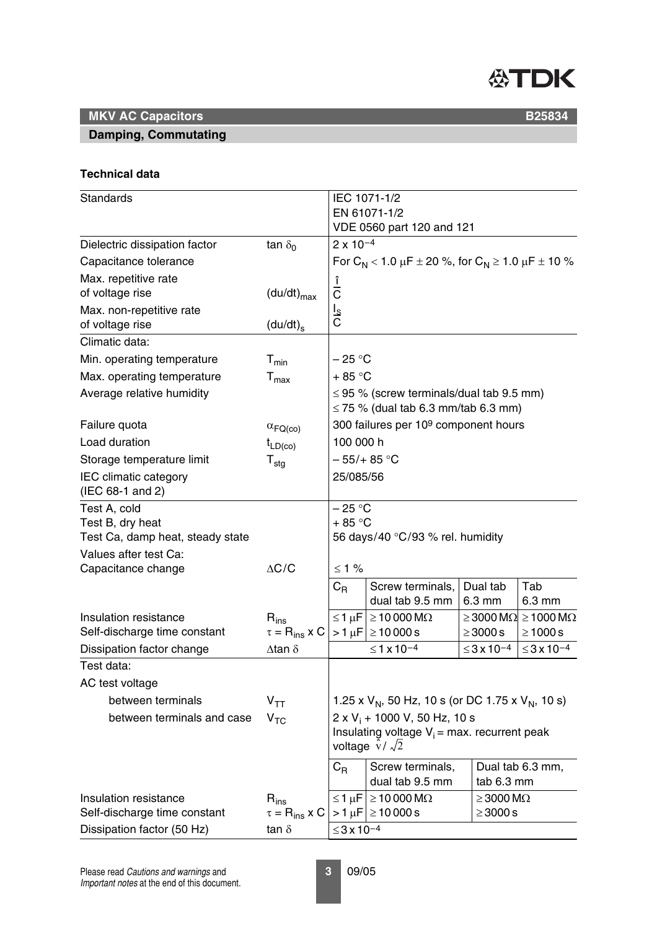

# **Damping, Commutating**

**B25834**

### **Technical data**

| <b>Standards</b>                                                     |                                        |                      | IEC 1071-1/2<br>EN 61071-1/2                                                                                             |                        |                                                                |  |
|----------------------------------------------------------------------|----------------------------------------|----------------------|--------------------------------------------------------------------------------------------------------------------------|------------------------|----------------------------------------------------------------|--|
|                                                                      |                                        |                      | VDE 0560 part 120 and 121                                                                                                |                        |                                                                |  |
| Dielectric dissipation factor                                        | tan $\delta_0$                         | $2 \times 10^{-4}$   |                                                                                                                          |                        |                                                                |  |
| Capacitance tolerance                                                |                                        |                      | For $C_N$ < 1.0 $\mu$ F ± 20 %, for $C_N$ ≥ 1.0 $\mu$ F ± 10 %                                                           |                        |                                                                |  |
| Max. repetitive rate                                                 |                                        |                      |                                                                                                                          |                        |                                                                |  |
| of voltage rise                                                      | $(du/dt)_{max}$                        | î<br>C               |                                                                                                                          |                        |                                                                |  |
| Max. non-repetitive rate<br>of voltage rise                          | $(du/dt)_{s}$                          | $rac{I_S}{C}$        |                                                                                                                          |                        |                                                                |  |
| Climatic data:                                                       |                                        |                      |                                                                                                                          |                        |                                                                |  |
| Min. operating temperature                                           | $T_{min}$                              | – 25 °C              |                                                                                                                          |                        |                                                                |  |
| Max. operating temperature                                           | $T_{\text{max}}$                       | $+85 °C$             |                                                                                                                          |                        |                                                                |  |
| Average relative humidity                                            |                                        |                      | $\leq$ 95 % (screw terminals/dual tab 9.5 mm)<br>$\leq$ 75 % (dual tab 6.3 mm/tab 6.3 mm)                                |                        |                                                                |  |
| Failure quota                                                        | $\alpha_{\mathsf{FQ}(\mathsf{co})}$    |                      | 300 failures per 10 <sup>9</sup> component hours                                                                         |                        |                                                                |  |
| Load duration                                                        | $t_{LD(co)}$                           | 100 000 h            |                                                                                                                          |                        |                                                                |  |
| Storage temperature limit                                            | $T_{\text{stg}}$                       |                      | $-55/+85$ °C                                                                                                             |                        |                                                                |  |
| <b>IEC</b> climatic category                                         |                                        | 25/085/56            |                                                                                                                          |                        |                                                                |  |
| (IEC 68-1 and 2)                                                     |                                        |                      |                                                                                                                          |                        |                                                                |  |
| Test A, cold<br>Test B, dry heat<br>Test Ca, damp heat, steady state |                                        | $-25 °C$<br>$+85 °C$ | 56 days/40 °C/93 % rel. humidity                                                                                         |                        |                                                                |  |
| Values after test Ca:<br>Capacitance change                          | $\Delta C/C$                           | $≤ 1 %$              |                                                                                                                          |                        |                                                                |  |
|                                                                      |                                        | $C_{R}$              | Screw terminals,<br>dual tab 9.5 mm                                                                                      | Dual tab<br>6.3 mm     | Tab<br>6.3 mm                                                  |  |
| Insulation resistance<br>Self-discharge time constant                | $R_{ins}$<br>$\tau = R_{ins} \times C$ |                      | $\leq$ 1 µF $\geq$ 10 000 M $\Omega$<br>$>1 \mu$ F ≥10 000 s                                                             | $\geq$ 3000 s          | $\geq$ 3000 M $\Omega$ $\geq$ 1000 M $\Omega$<br>$\geq 1000$ s |  |
| Dissipation factor change                                            | $\Delta$ tan $\delta$                  |                      | $≤ 1 x 10-4$                                                                                                             | $≤3x10-4$              | $≤3x10-4$                                                      |  |
| Test data:                                                           |                                        |                      |                                                                                                                          |                        |                                                                |  |
| AC test voltage                                                      |                                        |                      |                                                                                                                          |                        |                                                                |  |
| between terminals                                                    | $V_{TT}$                               |                      | 1.25 x $V_N$ , 50 Hz, 10 s (or DC 1.75 x $V_N$ , 10 s)                                                                   |                        |                                                                |  |
| between terminals and case                                           | V <sub>TC</sub>                        |                      | 2 x V <sub>i</sub> + 1000 V, 50 Hz, 10 s<br>Insulating voltage $V_i$ = max. recurrent peak<br>voltage $\hat{v}/\sqrt{2}$ |                        |                                                                |  |
|                                                                      |                                        | $C_{\mathsf{R}}$     | Screw terminals,<br>dual tab 9.5 mm                                                                                      | tab 6.3 mm             | Dual tab 6.3 mm,                                               |  |
| Insulation resistance                                                | $R_{ins}$                              | ≤1μF                 | $\geq$ 10 000 M $\Omega$                                                                                                 | $\geq$ 3000 M $\Omega$ |                                                                |  |
| Self-discharge time constant                                         | $\tau = R_{ins}$ x C                   |                      | $>1 \mu$ F  $\geq$ 10000s                                                                                                | $\geq$ 3000 s          |                                                                |  |
| Dissipation factor (50 Hz)                                           | $tan \delta$                           | $≤3x10-4$            |                                                                                                                          |                        |                                                                |  |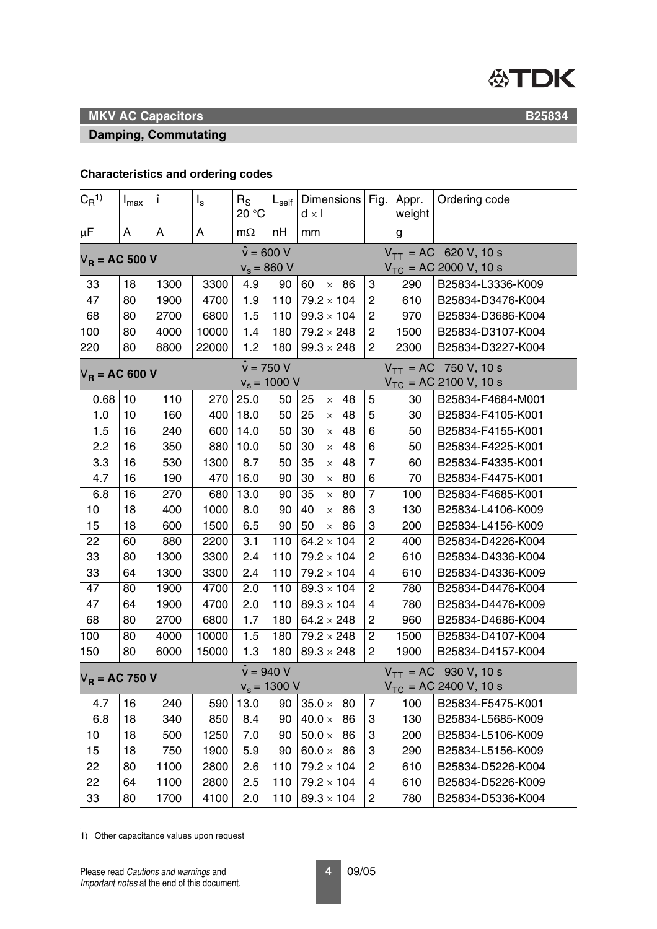

#### **Damping, Commutating**

**B25834**

# **Characteristics and ordering codes**

| $C_{\rm R}^{1}$                                         | $I_{\text{max}}$ | î    | $I_{s}$ | $R_{\rm S}$<br>20 °C               | $\mathsf{L}_{\mathsf{self}}$ | Dimensions   Fig.  <br>$d \times I$ |                         | Appr.<br>weight | Ordering code                                           |
|---------------------------------------------------------|------------------|------|---------|------------------------------------|------------------------------|-------------------------------------|-------------------------|-----------------|---------------------------------------------------------|
| μF                                                      | A                | A    | A       | $m\Omega$                          | nH                           | mm                                  |                         | g               |                                                         |
| $V_R = AC 500 V$                                        |                  |      |         | $\hat{v} = 600 V$<br>$v_s = 860$ V |                              |                                     |                         |                 | $V_{TT}$ = AC 620 V, 10 s<br>$V_{TC}$ = AC 2000 V, 10 s |
| 33                                                      | 18               | 1300 | 3300    | 4.9                                | 90                           | 60<br>$\times$ 86                   | 3                       | 290             | B25834-L3336-K009                                       |
| 47                                                      | 80               | 1900 | 4700    | 1.9                                | 110                          | $79.2 \times 104$                   | $\overline{c}$          | 610             | B25834-D3476-K004                                       |
| 68                                                      | 80               | 2700 | 6800    | 1.5                                | 110                          | $99.3 \times 104$                   | $\overline{c}$          | 970             | B25834-D3686-K004                                       |
| 100                                                     | 80               | 4000 | 10000   | 1.4                                | 180                          | $79.2 \times 248$                   | $\overline{c}$          | 1500            | B25834-D3107-K004                                       |
| 220                                                     | 80               | 8800 | 22000   | 1.2                                | 180                          | $99.3 \times 248$                   | $\overline{c}$          | 2300            | B25834-D3227-K004                                       |
| $V_R = AC 600 V$                                        |                  |      |         | $\hat{v} = 750 V$                  |                              |                                     |                         |                 | $V_{TT}$ = AC 750 V, 10 s                               |
|                                                         |                  |      |         | $v_s = 1000 V$                     |                              |                                     |                         |                 | $V_{TC}$ = AC 2100 V, 10 s                              |
| 0.68                                                    | 10               | 110  | 270     | 25.0                               | 50                           | 25<br>48<br>$\times$                | 5                       | 30              | B25834-F4684-M001                                       |
| 1.0                                                     | 10               | 160  | 400     | 18.0                               | 50                           | 25<br>48<br>$\times$                | 5                       | 30              | B25834-F4105-K001                                       |
| 1.5                                                     | 16               | 240  | 600     | 14.0                               | 50                           | 30<br>48<br>$\times$                | 6                       | 50              | B25834-F4155-K001                                       |
| 2.2                                                     | 16               | 350  | 880     | 10.0                               | 50                           | 30<br>48<br>$\times$                | $\overline{6}$          | 50              | B25834-F4225-K001                                       |
| 3.3                                                     | 16               | 530  | 1300    | 8.7                                | 50                           | 35<br>48<br>$\times$                | 7                       | 60              | B25834-F4335-K001                                       |
| 4.7                                                     | 16               | 190  | 470     | 16.0                               | 90                           | 30<br>80<br>$\times$                | 6                       | 70              | B25834-F4475-K001                                       |
| 6.8                                                     | 16               | 270  | 680     | 13.0                               | 90                           | 35<br>80<br>$\times$                | $\overline{7}$          | 100             | B25834-F4685-K001                                       |
| 10                                                      | 18               | 400  | 1000    | 8.0                                | 90                           | 40<br>86<br>$\times$                | 3                       | 130             | B25834-L4106-K009                                       |
| 15                                                      | 18               | 600  | 1500    | 6.5                                | 90                           | 50<br>86<br>$\times$                | 3                       | 200             | B25834-L4156-K009                                       |
| 22                                                      | 60               | 880  | 2200    | 3.1                                | 110                          | $64.2 \times 104$                   | $\overline{2}$          | 400             | B25834-D4226-K004                                       |
| 33                                                      | 80               | 1300 | 3300    | 2.4                                | 110                          | $79.2 \times 104$                   | $\overline{c}$          | 610             | B25834-D4336-K004                                       |
| 33                                                      | 64               | 1300 | 3300    | 2.4                                | 110                          | $79.2 \times 104$                   | 4                       | 610             | B25834-D4336-K009                                       |
| 47                                                      | 80               | 1900 | 4700    | 2.0                                | 110                          | $89.3 \times 104$                   | $\overline{c}$          | 780             | B25834-D4476-K004                                       |
| 47                                                      | 64               | 1900 | 4700    | 2.0                                | 110                          | $89.3 \times 104$                   | 4                       | 780             | B25834-D4476-K009                                       |
| 68                                                      | 80               | 2700 | 6800    | 1.7                                | 180                          | $64.2 \times 248$                   | $\overline{\mathbf{c}}$ | 960             | B25834-D4686-K004                                       |
| 100                                                     | 80               | 4000 | 10000   | 1.5                                | 180                          | $79.2 \times 248$                   | $\overline{c}$          | 1500            | B25834-D4107-K004                                       |
| 150                                                     | 80               | 6000 | 15000   | 1.3                                | 180                          | $89.3 \times 248$                   | $\overline{c}$          | 1900            | B25834-D4157-K004                                       |
| $\hat{v} = 940 V$<br>$V_R$ = AC 750 V<br>$v_s = 1300 V$ |                  |      |         |                                    |                              |                                     |                         |                 | $V_{TT}$ = AC 930 V, 10 s<br>$V_{TC}$ = AC 2400 V, 10 s |
| 4.7                                                     | 16               | 240  | 590     | 13.0                               | 90                           | $35.0 \times 80$                    | 7                       | 100             | B25834-F5475-K001                                       |
| 6.8                                                     | 18               | 340  | 850     | 8.4                                | 90                           | 40.0 $\times$<br>86                 | 3                       | 130             | B25834-L5685-K009                                       |
| 10 <sub>1</sub>                                         | 18               | 500  | 1250    | 7.0                                | 90                           | $50.0\times$<br>86                  | 3                       | 200             | B25834-L5106-K009                                       |
| 15                                                      | 18               | 750  | 1900    | 5.9                                | 90                           | $60.0 \times 86$                    | 3                       | 290             | B25834-L5156-K009                                       |
| 22                                                      | 80               | 1100 | 2800    | 2.6                                | 110                          | $79.2 \times 104$                   | $\overline{c}$          | 610             | B25834-D5226-K004                                       |
| 22                                                      | 64               | 1100 | 2800    | 2.5                                | 110                          | $79.2 \times 104$                   | 4                       | 610             | B25834-D5226-K009                                       |
| 33                                                      | 80               | 1700 | 4100    | 2.0                                | 110                          | $89.3 \times 104$                   | $\overline{c}$          | 780             | B25834-D5336-K004                                       |

1) Other capacitance values upon request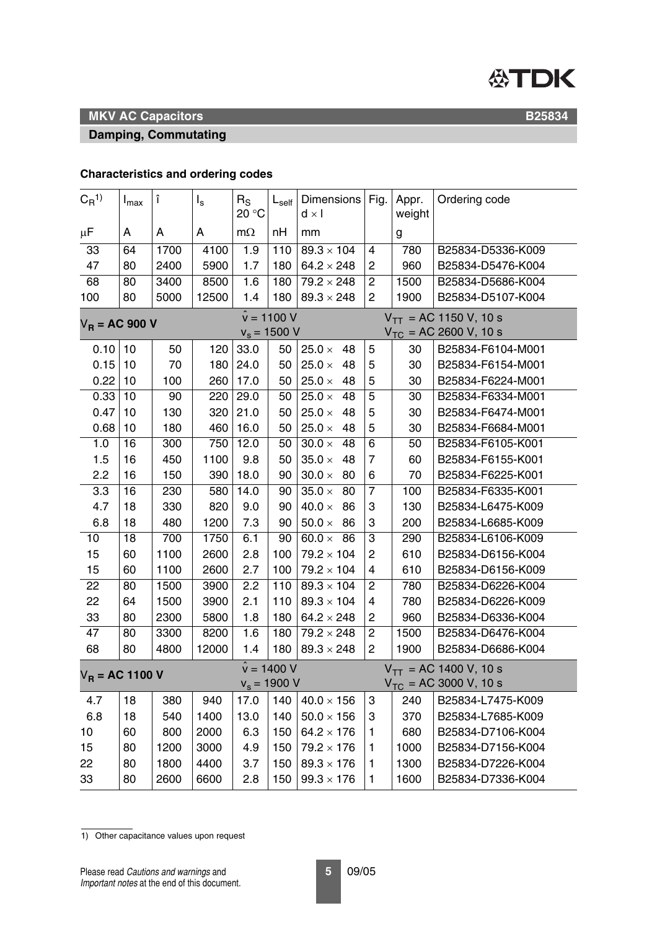

**B25834**

# **MKV AC Capacitors**

#### **Damping, Commutating**

### **Characteristics and ordering codes**

| $C_{R}^{1}$                              | $I_{\text{max}}$                              | î    | $I_{s}$ | $R_{S}$<br>20 °C | $L_{\text{self}}$ | Dimensions Fig.<br>$d \times I$ |                         | Appr.<br>weight            | Ordering code              |
|------------------------------------------|-----------------------------------------------|------|---------|------------------|-------------------|---------------------------------|-------------------------|----------------------------|----------------------------|
| μF                                       | A                                             | A    | A       | $m\Omega$        | nH                | mm                              |                         | g                          |                            |
| 33                                       | 64                                            | 1700 | 4100    | 1.9              | 110               | $89.3 \times 104$               | 4                       | 780                        | B25834-D5336-K009          |
| 47                                       | 80                                            | 2400 | 5900    | 1.7              | 180               | $64.2 \times 248$               | $\overline{c}$          | 960                        | B25834-D5476-K004          |
| 68                                       | 80                                            | 3400 | 8500    | 1.6              | 180               | $79.2 \times 248$               | 2                       | 1500                       | B25834-D5686-K004          |
| 100                                      | 80                                            | 5000 | 12500   | 1.4              | 180               | $89.3 \times 248$               | $\overline{c}$          | 1900                       | B25834-D5107-K004          |
| $\hat{v} = 1100 V$<br>$V_{R}$ = AC 900 V |                                               |      |         |                  |                   |                                 |                         | $V_{TT}$ = AC 1150 V, 10 s |                            |
|                                          |                                               |      |         | $v_s = 1500 V$   |                   |                                 |                         |                            | $V_{TC}$ = AC 2600 V, 10 s |
| 0.10                                     | 10                                            | 50   | 120     | 33.0             | 50                | $25.0 \times$<br>48             | 5                       | 30                         | B25834-F6104-M001          |
| 0.15                                     | 10                                            | 70   | 180     | 24.0             | 50                | $25.0 \times$<br>48             | 5                       | 30                         | B25834-F6154-M001          |
| 0.22                                     | 10                                            | 100  | 260     | 17.0             | 50                | 48<br>$25.0 \times$             | 5                       | 30                         | B25834-F6224-M001          |
| 0.33                                     | 10                                            | 90   | 220     | 29.0             | 50                | $25.0 \times$<br>48             | 5                       | 30                         | B25834-F6334-M001          |
| 0.47                                     | 10                                            | 130  | 320     | 21.0             | 50                | 25.0 $\times$<br>48             | 5                       | 30                         | B25834-F6474-M001          |
| 0.68                                     | 10                                            | 180  | 460     | 16.0             | 50                | 48<br>25.0 $\times$             | 5                       | 30                         | B25834-F6684-M001          |
| 1.0                                      | 16                                            | 300  | 750     | 12.0             | 50                | $30.0 \times$<br>48             | $\overline{6}$          | 50                         | B25834-F6105-K001          |
| 1.5                                      | 16                                            | 450  | 1100    | 9.8              | 50                | $35.0 \times$<br>48             | 7                       | 60                         | B25834-F6155-K001          |
| 2.2                                      | 16                                            | 150  | 390     | 18.0             | 90                | $30.0 \times$<br>80             | 6                       | 70                         | B25834-F6225-K001          |
| 3.3                                      | 16                                            | 230  | 580     | 14.0             | 90                | $35.0 \times$<br>80             | $\overline{7}$          | 100                        | B25834-F6335-K001          |
| 4.7                                      | 18                                            | 330  | 820     | 9.0              | 90                | $40.0 \times$<br>86             | 3                       | 130                        | B25834-L6475-K009          |
| 6.8                                      | 18                                            | 480  | 1200    | 7.3              | 90                | $50.0 \times$<br>86             | 3                       | 200                        | B25834-L6685-K009          |
| 10                                       | 18                                            | 700  | 1750    | 6.1              | 90                | 60.0 $\times$<br>86             | 3                       | 290                        | B25834-L6106-K009          |
| 15                                       | 60                                            | 1100 | 2600    | 2.8              | 100               | $79.2 \times 104$               | 2                       | 610                        | B25834-D6156-K004          |
| 15                                       | 60                                            | 1100 | 2600    | 2.7              | 100               | $79.2 \times 104$               | 4                       | 610                        | B25834-D6156-K009          |
| 22                                       | 80                                            | 1500 | 3900    | 2.2              | 110               | $89.3 \times 104$               | $\overline{\mathbf{c}}$ | 780                        | B25834-D6226-K004          |
| 22                                       | 64                                            | 1500 | 3900    | 2.1              | 110               | $89.3 \times 104$               | $\overline{\mathbf{4}}$ | 780                        | B25834-D6226-K009          |
| 33                                       | 80                                            | 2300 | 5800    | 1.8              | 180               | $64.2 \times 248$               | $\overline{\mathbf{c}}$ | 960                        | B25834-D6336-K004          |
| 47                                       | 80                                            | 3300 | 8200    | 1.6              | 180               | $79.2 \times 248$               | $\overline{c}$          | 1500                       | B25834-D6476-K004          |
| 68                                       | 80                                            | 4800 | 12000   | 1.4              | 180               | $89.3 \times 248$               | $\overline{c}$          | 1900                       | B25834-D6686-K004          |
|                                          | $\hat{v} = 1400 V$<br>$V_{\rm B}$ = AC 1100 V |      |         |                  |                   |                                 |                         | $V_{TT}$ = AC 1400 V, 10 s |                            |
|                                          |                                               |      |         | $v_s = 1900 V$   |                   |                                 |                         |                            | $V_{TC}$ = AC 3000 V, 10 s |
| 4.7                                      | 18                                            | 380  | 940     | 17.0             | 140               | $40.0 \times 156$               | 3                       | 240                        | B25834-L7475-K009          |
| 6.8                                      | 18                                            | 540  | 1400    | 13.0             | 140               | $50.0 \times 156$               | 3                       | 370                        | B25834-L7685-K009          |
| 10                                       | 60                                            | 800  | 2000    | 6.3              | 150               | $64.2 \times 176$               | 1                       | 680                        | B25834-D7106-K004          |
| 15                                       | 80                                            | 1200 | 3000    | 4.9              | 150               | $79.2 \times 176$               | 1                       | 1000                       | B25834-D7156-K004          |
| 22                                       | 80                                            | 1800 | 4400    | 3.7              | 150               | $89.3 \times 176$               | 1                       | 1300                       | B25834-D7226-K004          |
| 33                                       | 80                                            | 2600 | 6600    | 2.8              | 150               | $99.3 \times 176$               | 1                       | 1600                       | B25834-D7336-K004          |

1) Other capacitance values upon request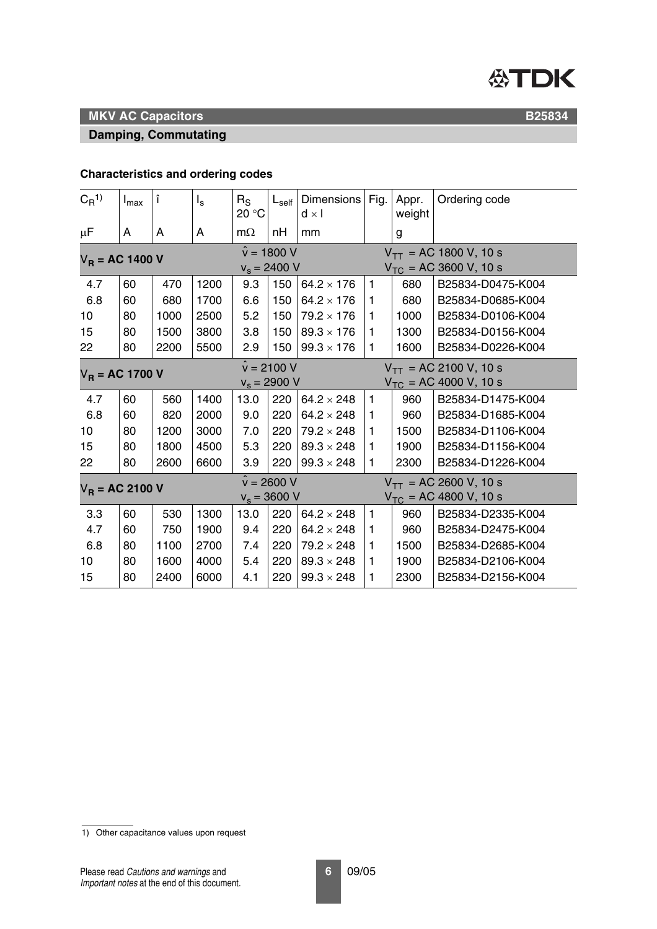

#### **Damping, Commutating**

**B25834**

# **Characteristics and ordering codes**

| $C_{\rm R}^{1}$   | $I_{\text{max}}$                    | Î    | $I_{s}$ | $R_{\rm S}$<br>20 °C | $L_{\text{self}}$          | Dimensions<br>$d \times l$ | Fig.                       | Appr.<br>weight            | Ordering code                                            |  |
|-------------------|-------------------------------------|------|---------|----------------------|----------------------------|----------------------------|----------------------------|----------------------------|----------------------------------------------------------|--|
| μF                | A                                   | A    | A       | $m\Omega$            | nH                         | mm                         |                            | g                          |                                                          |  |
| $V_R$ = AC 1400 V |                                     |      |         | $v_s = 2400 V$       | $\hat{v} = 1800 V$         |                            |                            |                            | $V_{TT}$ = AC 1800 V, 10 s<br>$V_{TC}$ = AC 3600 V, 10 s |  |
| 4.7               | 60                                  | 470  | 1200    | 9.3                  | 150                        | $64.2 \times 176$          | $\mathbf{1}$               | 680                        | B25834-D0475-K004                                        |  |
| 6.8               | 60                                  | 680  | 1700    | 6.6                  | 150                        | $64.2 \times 176$          | 1                          | 680                        | B25834-D0685-K004                                        |  |
| 10                | 80                                  | 1000 | 2500    | 5.2                  | 150                        | $79.2 \times 176$          | 1                          | 1000                       | B25834-D0106-K004                                        |  |
| 15                | 80                                  | 1500 | 3800    | 3.8                  | 150                        | $89.3 \times 176$          | 1                          | 1300                       | B25834-D0156-K004                                        |  |
| 22                | 80                                  | 2200 | 5500    | 2.9                  | 150                        | $99.3 \times 176$          | 1                          | 1600                       | B25834-D0226-K004                                        |  |
| $V_R$ = AC 1700 V |                                     |      |         | $\hat{v} = 2100 V$   |                            |                            |                            | $V_{TT}$ = AC 2100 V, 10 s |                                                          |  |
|                   |                                     |      |         | $v_s = 2900$ V       |                            |                            |                            |                            | $V_{TC}$ = AC 4000 V, 10 s                               |  |
| 4.7               | 60                                  | 560  | 1400    | 13.0                 | 220                        | $64.2 \times 248$          | 1                          | 960                        | B25834-D1475-K004                                        |  |
| 6.8               | 60                                  | 820  | 2000    | 9.0                  | 220                        | $64.2 \times 248$          | 1                          | 960                        | B25834-D1685-K004                                        |  |
| 10                | 80                                  | 1200 | 3000    | 7.0                  | 220                        | $79.2 \times 248$          | 1                          | 1500                       | B25834-D1106-K004                                        |  |
| 15                | 80                                  | 1800 | 4500    | 5.3                  | 220                        | $89.3 \times 248$          | 1                          | 1900                       | B25834-D1156-K004                                        |  |
| 22                | 80                                  | 2600 | 6600    | 3.9                  | 220                        | $99.3 \times 248$          | 1                          | 2300                       | B25834-D1226-K004                                        |  |
|                   |                                     |      |         |                      | $\hat{v} = 2600 \text{ V}$ |                            |                            |                            | $V_{TT}$ = AC 2600 V, 10 s                               |  |
|                   | $V_R = AC 2100 V$<br>$v_s = 3600 V$ |      |         |                      |                            |                            | $V_{TC}$ = AC 4800 V, 10 s |                            |                                                          |  |
| 3.3               | 60                                  | 530  | 1300    | 13.0                 | 220                        | $64.2 \times 248$          | 1                          | 960                        | B25834-D2335-K004                                        |  |
| 4.7               | 60                                  | 750  | 1900    | 9.4                  | 220                        | $64.2 \times 248$          | 1                          | 960                        | B25834-D2475-K004                                        |  |
| 6.8               | 80                                  | 1100 | 2700    | 7.4                  | 220                        | $79.2 \times 248$          | 1                          | 1500                       | B25834-D2685-K004                                        |  |
| 10                | 80                                  | 1600 | 4000    | 5.4                  | 220                        | $89.3 \times 248$          | 1                          | 1900                       | B25834-D2106-K004                                        |  |
| 15                | 80                                  | 2400 | 6000    | 4.1                  | 220                        | $99.3 \times 248$          | 1                          | 2300                       | B25834-D2156-K004                                        |  |

<sup>1)</sup> Other capacitance values upon request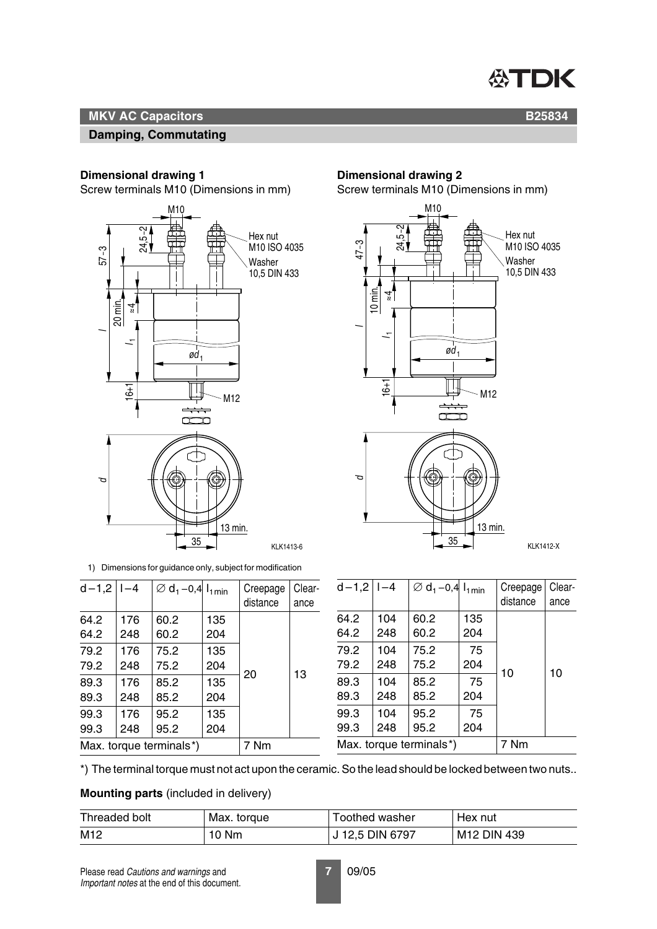

**B25834**

## **MKV AC Capacitors**

#### **Damping, Commutating**

#### **Dimensional drawing 1**

Screw terminals M10 (Dimensions in mm)



1) Dimensions for guidance only, subject for modification

| $d - 1,2$   $l - 4$ |     | $\varnothing$ d <sub>1</sub> -0,4 $I_{1min}$ |     | Creepage | Clear- |
|---------------------|-----|----------------------------------------------|-----|----------|--------|
|                     |     |                                              |     | distance | ance   |
| 64.2                | 176 | 60.2                                         | 135 |          |        |
| 64.2                | 248 | 60.2                                         | 204 |          |        |
| 79.2                | 176 | 75.2                                         | 135 |          |        |
| 79.2                | 248 | 75.2                                         | 204 | 20       | 13     |
| 89.3                | 176 | 85.2                                         | 135 |          |        |
| 89.3                | 248 | 85.2                                         | 204 |          |        |
| 99.3                | 176 | 95.2                                         | 135 |          |        |
| 99.3                | 248 | 95.2                                         | 204 |          |        |
|                     |     | Max. torque terminals*)                      |     | 7 Nm     |        |

## **Dimensional drawing 2**

Screw terminals M10 (Dimensions in mm)



| $d-1,2$   1-4           |     | $\varnothing$ d <sub>1</sub> -0,4 $I_{1min}$ |      | Creepage | Clear- |
|-------------------------|-----|----------------------------------------------|------|----------|--------|
|                         |     |                                              |      | distance | ance   |
| 64.2                    | 104 | 60.2                                         | 135  |          |        |
| 64.2                    | 248 | 60.2                                         | 204  |          |        |
| 79.2                    | 104 | 75.2                                         | 75   |          |        |
| 79.2                    | 248 | 75.2                                         | 204  | 10       | 10     |
| 89.3                    | 104 | 85.2                                         | 75   |          |        |
| 89.3                    | 248 | 85.2                                         | 204  |          |        |
| 99.3                    | 104 | 95.2                                         | 75   |          |        |
| 99.3                    | 248 | 95.2                                         | 204  |          |        |
| Max. torque terminals*) |     |                                              | 7 Nm |          |        |

\*) The terminal torque must not act upon the ceramic. So the lead should be locked between two nuts..

**Mounting parts** (included in delivery)

| Threaded bolt | Max. torque | Toothed washer  | Hex nut     |
|---------------|-------------|-----------------|-------------|
| M12           | 10 Nm       | J 12,5 DIN 6797 | M12 DIN 439 |

Please read *Cautions and warnings* and **7** 09/05 *Important notes* at the end of this document.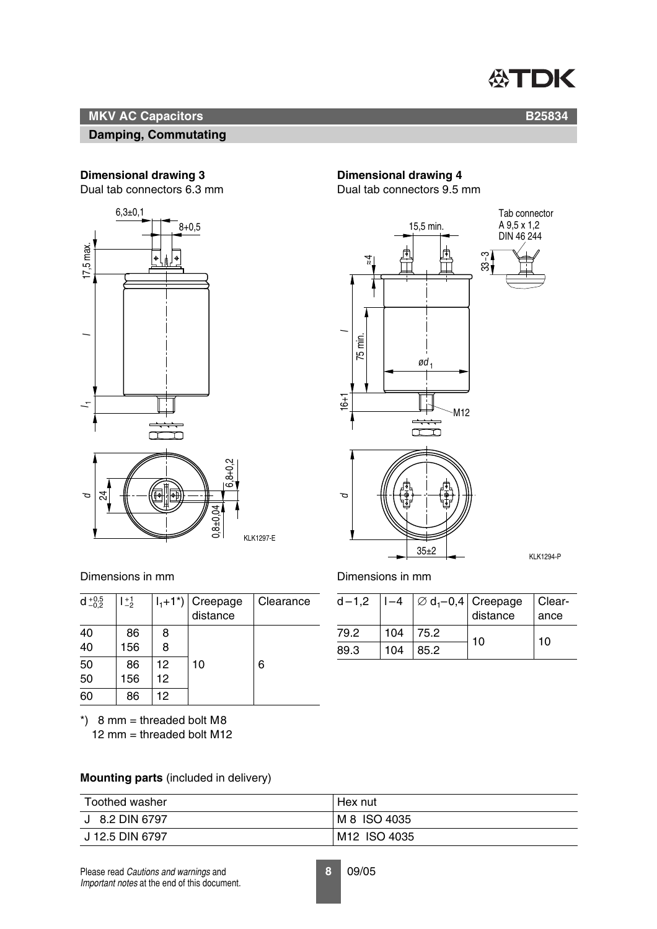

#### **Damping, Commutating**

# **B25834**

#### **Dimensional drawing 3**

Dual tab connectors 6.3 mm



#### Dimensions in mm

| $d_{-0.2}^{+0.5}$ | $1^{+1}_{-2}$ |    | $\sqrt{I_1+1^*}$ Creepage<br>distance | Clearance |
|-------------------|---------------|----|---------------------------------------|-----------|
| 40                | 86            | 8  |                                       |           |
| 40                | 156           | 8  |                                       |           |
| 50                | 86            | 12 | 10                                    | 6         |
| 50                | 156           | 12 |                                       |           |
| 60                | 86            | 12 |                                       |           |

 $*$ ) 8 mm = threaded bolt M8 12 mm = threaded bolt M12

#### **Mounting parts** (included in delivery)

| Toothed washer  | Hex nut                  |
|-----------------|--------------------------|
| J 8.2 DIN 6797  | M 8 ISO 4035             |
| J 12.5 DIN 6797 | M <sub>12</sub> ISO 4035 |

# **Dimensional drawing 4**

Dual tab connectors 9.5 mm



#### Dimensions in mm

| $d - 1,2$ | $ -4$ |      | $\Big \varnothing$ d <sub>1</sub> -0,4 Creepage Clear-<br>distance ance |    |
|-----------|-------|------|-------------------------------------------------------------------------|----|
| 79.2      | 104   | 75.2 | 10                                                                      | 10 |
| 89.3      | 104   | 85.2 |                                                                         |    |

Please read *Cautions and warnings* and **8** 09/05 *Important notes* at the end of this document.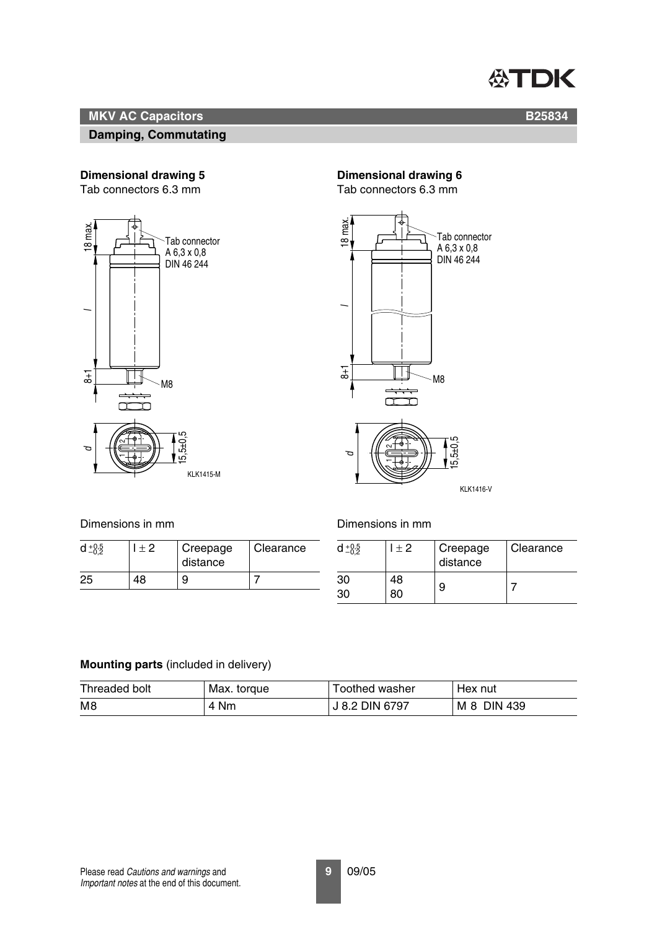

#### **Damping, Commutating**

#### **Dimensional drawing 5**

Tab connectors 6.3 mm



### **Dimensional drawing 6**

Tab connectors 6.3 mm



KLK1416-V

Dimensions in mm

|    | + 2 | Creepage<br>distance | Clearance |
|----|-----|----------------------|-----------|
| 25 | 18  | 9                    |           |

#### Dimensions in mm

| $+0,5$   | l + 2    | Creepage<br>distance | Clearance |
|----------|----------|----------------------|-----------|
| 30<br>30 | 48<br>80 | 9                    |           |

#### **Mounting parts** (included in delivery)

| Threaded bolt | Max. torque | Toothed washer | Hex nut     |
|---------------|-------------|----------------|-------------|
| M8            | 4 Nm        | J 8.2 DIN 6797 | M 8 DIN 439 |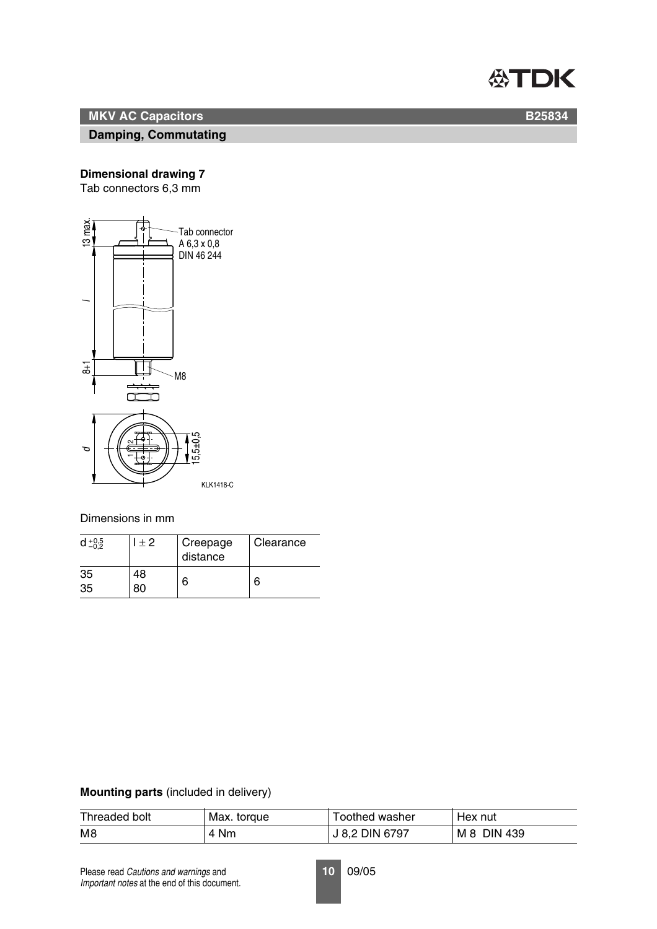

#### **Damping, Commutating**

### **Dimensional drawing 7**

Tab connectors 6,3 mm



Dimensions in mm

| $d + 0.5$ | $+2$ | Creepage<br>distance | Clearance |
|-----------|------|----------------------|-----------|
| 35<br>35  | 18   | 6                    | 6         |

#### **Mounting parts** (included in delivery)

| Threaded bolt | Max. torque | Toothed washer | Hex nut     |
|---------------|-------------|----------------|-------------|
| M8            | 4 Nm        | J 8.2 DIN 6797 | M 8 DIN 439 |

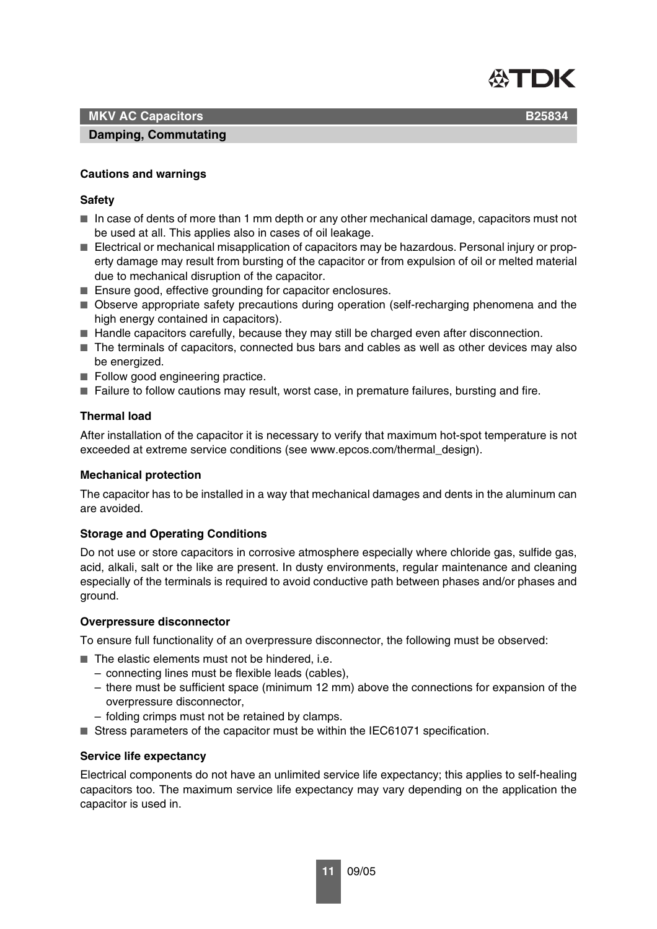

**B25834**

### **MKV AC Capacitors**

#### **Damping, Commutating**

#### **Cautions and warnings**

#### **Safety**

- In case of dents of more than 1 mm depth or any other mechanical damage, capacitors must not be used at all. This applies also in cases of oil leakage.
- Electrical or mechanical misapplication of capacitors may be hazardous. Personal injury or property damage may result from bursting of the capacitor or from expulsion of oil or melted material due to mechanical disruption of the capacitor.
- Ensure good, effective grounding for capacitor enclosures.
- Observe appropriate safety precautions during operation (self-recharging phenomena and the high energy contained in capacitors).
- Handle capacitors carefully, because they may still be charged even after disconnection.
- The terminals of capacitors, connected bus bars and cables as well as other devices may also be energized.
- Follow good engineering practice.
- Failure to follow cautions may result, worst case, in premature failures, bursting and fire.

#### **Thermal load**

After installation of the capacitor it is necessary to verify that maximum hot-spot temperature is not exceeded at extreme service conditions (see www.epcos.com/thermal\_design).

#### **Mechanical protection**

The capacitor has to be installed in a way that mechanical damages and dents in the aluminum can are avoided.

#### **Storage and Operating Conditions**

Do not use or store capacitors in corrosive atmosphere especially where chloride gas, sulfide gas, acid, alkali, salt or the like are present. In dusty environments, regular maintenance and cleaning especially of the terminals is required to avoid conductive path between phases and/or phases and ground.

#### **Overpressure disconnector**

To ensure full functionality of an overpressure disconnector, the following must be observed:

- The elastic elements must not be hindered, i.e.
	- connecting lines must be flexible leads (cables),
	- there must be sufficient space (minimum 12 mm) above the connections for expansion of the overpressure disconnector,
	- folding crimps must not be retained by clamps.
- Stress parameters of the capacitor must be within the IEC61071 specification.

#### **Service life expectancy**

Electrical components do not have an unlimited service life expectancy; this applies to self-healing capacitors too. The maximum service life expectancy may vary depending on the application the capacitor is used in.

**11** 09/05